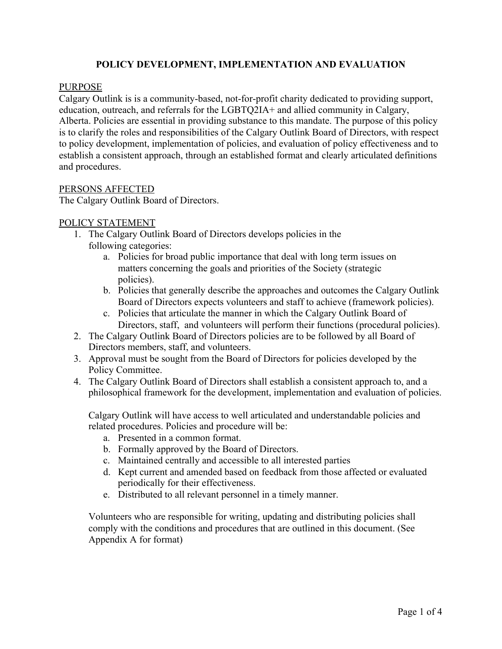## **POLICY DEVELOPMENT, IMPLEMENTATION AND EVALUATION**

#### PURPOSE

Calgary Outlink is is a community-based, not-for-profit charity dedicated to providing support, education, outreach, and referrals for the LGBTQ2IA+ and allied community in Calgary, Alberta. Policies are essential in providing substance to this mandate. The purpose of this policy is to clarify the roles and responsibilities of the Calgary Outlink Board of Directors, with respect to policy development, implementation of policies, and evaluation of policy effectiveness and to establish a consistent approach, through an established format and clearly articulated definitions and procedures.

#### PERSONS AFFECTED

The Calgary Outlink Board of Directors.

#### POLICY STATEMENT

- 1. The Calgary Outlink Board of Directors develops policies in the following categories:
	- a. Policies for broad public importance that deal with long term issues on matters concerning the goals and priorities of the Society (strategic policies).
	- b. Policies that generally describe the approaches and outcomes the Calgary Outlink Board of Directors expects volunteers and staff to achieve (framework policies).
	- c. Policies that articulate the manner in which the Calgary Outlink Board of Directors, staff, and volunteers will perform their functions (procedural policies).
- 2. The Calgary Outlink Board of Directors policies are to be followed by all Board of Directors members, staff, and volunteers.
- 3. Approval must be sought from the Board of Directors for policies developed by the Policy Committee.
- 4. The Calgary Outlink Board of Directors shall establish a consistent approach to, and a philosophical framework for the development, implementation and evaluation of policies.

Calgary Outlink will have access to well articulated and understandable policies and related procedures. Policies and procedure will be:

- a. Presented in a common format.
- b. Formally approved by the Board of Directors.
- c. Maintained centrally and accessible to all interested parties
- d. Kept current and amended based on feedback from those affected or evaluated periodically for their effectiveness.
- e. Distributed to all relevant personnel in a timely manner.

Volunteers who are responsible for writing, updating and distributing policies shall comply with the conditions and procedures that are outlined in this document. (See Appendix A for format)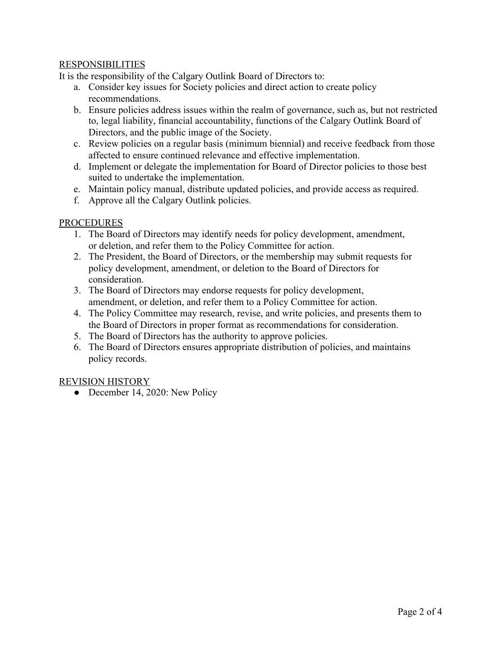## RESPONSIBILITIES

It is the responsibility of the Calgary Outlink Board of Directors to:

- a. Consider key issues for Society policies and direct action to create policy recommendations.
- b. Ensure policies address issues within the realm of governance, such as, but not restricted to, legal liability, financial accountability, functions of the Calgary Outlink Board of Directors, and the public image of the Society.
- c. Review policies on a regular basis (minimum biennial) and receive feedback from those affected to ensure continued relevance and effective implementation.
- d. Implement or delegate the implementation for Board of Director policies to those best suited to undertake the implementation.
- e. Maintain policy manual, distribute updated policies, and provide access as required.
- f. Approve all the Calgary Outlink policies.

## **PROCEDURES**

- 1. The Board of Directors may identify needs for policy development, amendment, or deletion, and refer them to the Policy Committee for action.
- 2. The President, the Board of Directors, or the membership may submit requests for policy development, amendment, or deletion to the Board of Directors for consideration.
- 3. The Board of Directors may endorse requests for policy development, amendment, or deletion, and refer them to a Policy Committee for action.
- 4. The Policy Committee may research, revise, and write policies, and presents them to the Board of Directors in proper format as recommendations for consideration.
- 5. The Board of Directors has the authority to approve policies.
- 6. The Board of Directors ensures appropriate distribution of policies, and maintains policy records.

#### REVISION HISTORY

• December 14, 2020: New Policy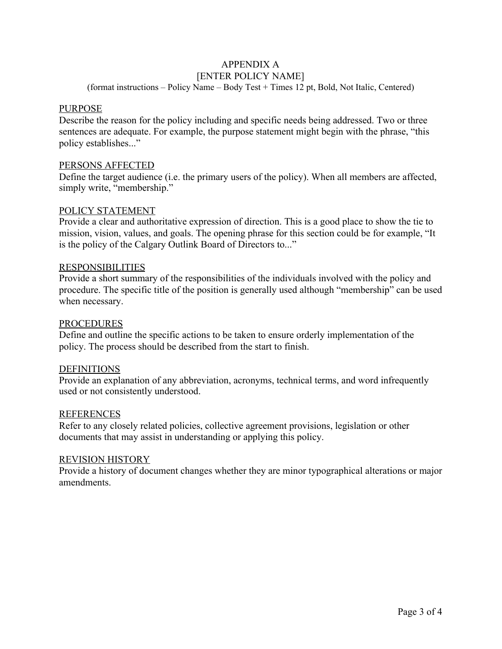# APPENDIX A

#### [ENTER POLICY NAME]

(format instructions – Policy Name – Body Test + Times 12 pt, Bold, Not Italic, Centered)

#### PURPOSE

Describe the reason for the policy including and specific needs being addressed. Two or three sentences are adequate. For example, the purpose statement might begin with the phrase, "this policy establishes..."

#### PERSONS AFFECTED

Define the target audience (i.e. the primary users of the policy). When all members are affected, simply write, "membership."

#### POLICY STATEMENT

Provide a clear and authoritative expression of direction. This is a good place to show the tie to mission, vision, values, and goals. The opening phrase for this section could be for example, "It is the policy of the Calgary Outlink Board of Directors to..."

## **RESPONSIBILITIES**

Provide a short summary of the responsibilities of the individuals involved with the policy and procedure. The specific title of the position is generally used although "membership" can be used when necessary.

#### PROCEDURES

Define and outline the specific actions to be taken to ensure orderly implementation of the policy. The process should be described from the start to finish.

#### **DEFINITIONS**

Provide an explanation of any abbreviation, acronyms, technical terms, and word infrequently used or not consistently understood.

#### **REFERENCES**

Refer to any closely related policies, collective agreement provisions, legislation or other documents that may assist in understanding or applying this policy.

#### REVISION HISTORY

Provide a history of document changes whether they are minor typographical alterations or major amendments.